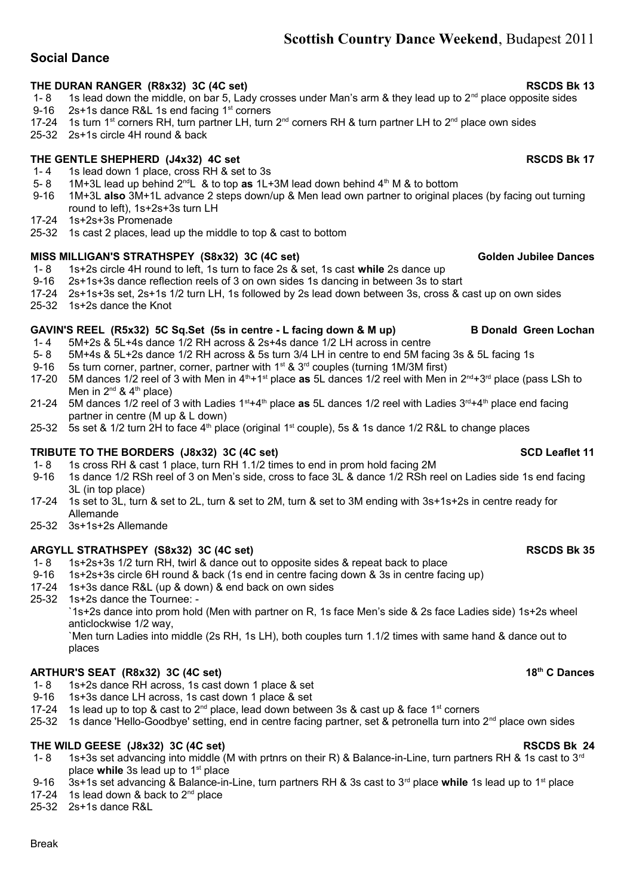# **Scottish Country Dance Weekend**, Budapest 2011

## THE DURAN RANGER (R8x32) 3C (4C set) **RSCDS Bk 13** RSCDS Bk 13

- 1- 8 1s lead down the middle, on bar 5, Lady crosses under Man's arm & they lead up to  $2^{nd}$  place opposite sides
- 9-16 2s+1s dance R&L 1s end facing 1<sup>st</sup> corners
- 17-24 1s turn 1<sup>st</sup> corners RH, turn partner LH, turn 2<sup>nd</sup> corners RH & turn partner LH to 2<sup>nd</sup> place own sides
- 25-32 2s+1s circle 4H round & back

## THE GENTLE SHEPHERD (J4x32) 4C set **RSCDS Bk 17**

- 1- 4 1s lead down 1 place, cross RH & set to 3s<br>5- 8 1M+3L lead up behind  $2^{nd}L$  & to top as  $1L+$
- 5- 8 1M+3L lead up behind 2<sup>nd</sup>L & to top **as** 1L+3M lead down behind 4<sup>th</sup> M & to bottom<br>9-16 1M+3L **also** 3M+1L advance 2 steps down/up & Men lead own partner to original pl

 9-16 1M+3L **also** 3M+1L advance 2 steps down/up & Men lead own partner to original places (by facing out turning round to left), 1s+2s+3s turn LH

17-24 1s+2s+3s Promenade

**Social Dance**

25-32 1s cast 2 places, lead up the middle to top & cast to bottom

## MISS MILLIGAN'S STRATHSPEY (S8x32) 3C (4C set) **Golden 3**Golden Jubilee Dances

- 1- 8 1s+2s circle 4H round to left, 1s turn to face 2s & set, 1s cast **while** 2s dance up
- 9-16 2s+1s+3s dance reflection reels of 3 on own sides 1s dancing in between 3s to start
- 17-24 2s+1s+3s set, 2s+1s 1/2 turn LH, 1s followed by 2s lead down between 3s, cross & cast up on own sides 25-32 1s+2s dance the Knot
- 

## GAVIN'S REEL (R5x32) 5C Sq.Set (5s in centre - L facing down & M up) B Donald Green Lochan

- 1- 4 5M+2s & 5L+4s dance 1/2 RH across & 2s+4s dance 1/2 LH across in centre
- 5- 8 5M+4s & 5L+2s dance 1/2 RH across & 5s turn 3/4 LH in centre to end 5M facing 3s & 5L facing 1s
- 9-16 5s turn corner, partner, corner, partner with 1<sup>st</sup> & 3<sup>rd</sup> couples (turning 1M/3M first)
- 17-20 5M dances 1/2 reel of 3 with Men in 4th+1st place **as** 5L dances 1/2 reel with Men in 2nd+3rd place (pass LSh to Men in  $2^{nd}$  &  $4^{th}$  place)
- 21-24 5M dances 1/2 reel of 3 with Ladies 1st+4th place **as** 5L dances 1/2 reel with Ladies 3rd+4th place end facing partner in centre (M up & L down)
- 25-32 5s set & 1/2 turn 2H to face  $4<sup>th</sup>$  place (original 1<sup>st</sup> couple), 5s & 1s dance 1/2 R&L to change places

## **TRIBUTE TO THE BORDERS** (J8x32) 3C (4C set) SCD Leaflet 11

- 1- 8 1s cross RH & cast 1 place, turn RH 1.1/2 times to end in prom hold facing 2M
- 9-16 1s dance 1/2 RSh reel of 3 on Men's side, cross to face 3L & dance 1/2 RSh reel on Ladies side 1s end facing 3L (in top place)
- 17-24 1s set to 3L, turn & set to 2L, turn & set to 2M, turn & set to 3M ending with 3s+1s+2s in centre ready for Allemande
- 25-32 3s+1s+2s Allemande

### ARGYLL STRATHSPEY (S8x32) 3C (4C set) **RSCDS Bk 35**

- 1- 8 1s+2s+3s 1/2 turn RH, twirl & dance out to opposite sides & repeat back to place
- 9-16 1s+2s+3s circle 6H round & back (1s end in centre facing down & 3s in centre facing up)
- 17-24 1s+3s dance R&L (up & down) & end back on own sides
- 25-32 1s+2s dance the Tournee: -

`1s+2s dance into prom hold (Men with partner on R, 1s face Men's side & 2s face Ladies side) 1s+2s wheel anticlockwise 1/2 way,

`Men turn Ladies into middle (2s RH, 1s LH), both couples turn 1.1/2 times with same hand & dance out to places

## **ARTHUR'S SEAT (R8x32) 3C (4C set) 18th C Dances**

- 1- 8 1s+2s dance RH across, 1s cast down 1 place & set
- 9-16 1s+3s dance LH across, 1s cast down 1 place & set
- 17-24 1s lead up to top & cast to  $2^{nd}$  place, lead down between 3s & cast up & face 1<sup>st</sup> corners
- 25-32 1s dance 'Hello-Goodbye' setting, end in centre facing partner, set & petronella turn into 2<sup>nd</sup> place own sides

### **THE WILD GEESE (J8x32) 3C (4C set) RSCDS Bk 24**

- 1- 8 1s+3s set advancing into middle (M with prtnrs on their R) & Balance-in-Line, turn partners RH & 1s cast to  $3^{rd}$ place while 3s lead up to 1<sup>st</sup> place
- 9-16 3s+1s set advancing & Balance-in-Line, turn partners RH & 3s cast to 3rd place **while** 1s lead up to 1st place
- 17-24 1s lead down & back to 2<sup>nd</sup> place
- 25-32 2s+1s dance R&L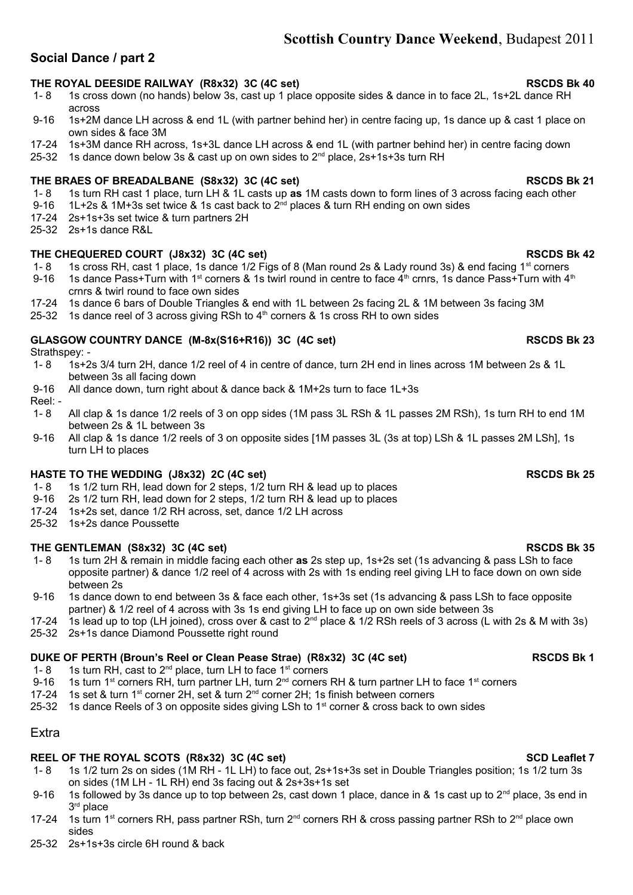# **Scottish Country Dance Weekend**, Budapest 2011

# **Social Dance / part 2**

# **THE ROYAL DEESIDE RAILWAY (R8x32) 3C (4C set) RSCDS Bk 40**

- 1- 8 1s cross down (no hands) below 3s, cast up 1 place opposite sides & dance in to face 2L, 1s+2L dance RH across
- 9-16 1s+2M dance LH across & end 1L (with partner behind her) in centre facing up, 1s dance up & cast 1 place on own sides & face 3M
- 17-24 1s+3M dance RH across, 1s+3L dance LH across & end 1L (with partner behind her) in centre facing down
- 25-32 1s dance down below 3s & cast up on own sides to  $2^{nd}$  place,  $2s+1s+3s$  turn RH

# THE BRAES OF BREADALBANE (S8x32) 3C (4C set) **RSCDS BK 21** RSCDS Bk 21

- 1- 8 1s turn RH cast 1 place, turn LH & 1L casts up **as** 1M casts down to form lines of 3 across facing each other
- 9-16 1L+2s & 1M+3s set twice & 1s cast back to  $2^{nd}$  places & turn RH ending on own sides
- 17-24 2s+1s+3s set twice & turn partners 2H
- 25-32 2s+1s dance R&L

# **THE CHEQUERED COURT (J8x32) 3C (4C set) RSCDS Bk 42**

- 1- 8 1s cross RH, cast 1 place, 1s dance 1/2 Figs of 8 (Man round 2s & Lady round 3s) & end facing 1<sup>st</sup> corners
- 9-16 1s dance Pass+Turn with 1<sup>st</sup> corners & 1s twirl round in centre to face  $4<sup>th</sup>$  crnrs, 1s dance Pass+Turn with  $4<sup>th</sup>$ crnrs & twirl round to face own sides
- 17-24 1s dance 6 bars of Double Triangles & end with 1L between 2s facing 2L & 1M between 3s facing 3M
- 25-32 1s dance reel of 3 across giving RSh to  $4<sup>th</sup>$  corners & 1s cross RH to own sides

# GLASGOW COUNTRY DANCE (M-8x(S16+R16)) 3C (4C set) **RSCDS BK 23** RSCDS Bk 23

Strathspey: -

- 1- 8 1s+2s 3/4 turn 2H, dance 1/2 reel of 4 in centre of dance, turn 2H end in lines across 1M between 2s & 1L between 3s all facing down
- 9-16 All dance down, turn right about & dance back & 1M+2s turn to face 1L+3s
- Reel: -<br>1-8
- All clap & 1s dance 1/2 reels of 3 on opp sides (1M pass 3L RSh & 1L passes 2M RSh), 1s turn RH to end 1M between 2s & 1L between 3s
- 9-16 All clap & 1s dance 1/2 reels of 3 on opposite sides [1M passes 3L (3s at top) LSh & 1L passes 2M LSh], 1s turn LH to places

# HASTE TO THE WEDDING (J8x32) 2C (4C set) **RSCDS BK 25** RSCDS Bk 25

- 1- 8 1s 1/2 turn RH, lead down for 2 steps, 1/2 turn RH & lead up to places
- 9-16 2s 1/2 turn RH, lead down for 2 steps, 1/2 turn RH & lead up to places
- 17-24 1s+2s set, dance 1/2 RH across, set, dance 1/2 LH across
- 25-32 1s+2s dance Poussette

# **THE GENTLEMAN (S8x32) 3C (4C set) RSCDS Bk 35**

- 1- 8 1s turn 2H & remain in middle facing each other **as** 2s step up, 1s+2s set (1s advancing & pass LSh to face opposite partner) & dance 1/2 reel of 4 across with 2s with 1s ending reel giving LH to face down on own side between 2s
- 9-16 1s dance down to end between 3s & face each other, 1s+3s set (1s advancing & pass LSh to face opposite partner) & 1/2 reel of 4 across with 3s 1s end giving LH to face up on own side between 3s
- 17-24 1s lead up to top (LH joined), cross over & cast to  $2^{nd}$  place & 1/2 RSh reels of 3 across (L with 2s & M with 3s)
- 25-32 2s+1s dance Diamond Poussette right round

# **DUKE OF PERTH (Broun's Reel or Clean Pease Strae) (R8x32) 3C (4C set) RSCDS Bk 1**

- 1- 8 1s turn RH, cast to  $2^{nd}$  place, turn LH to face  $1^{st}$  corners
- 9-16 1s turn 1<sup>st</sup> corners RH, turn partner LH, turn 2<sup>nd</sup> corners RH & turn partner LH to face 1<sup>st</sup> corners
- 17-24 1s set & turn 1<sup>st</sup> corner 2H, set & turn  $2<sup>nd</sup>$  corner 2H; 1s finish between corners
- 25-32 1s dance Reels of 3 on opposite sides giving LSh to 1<sup>st</sup> corner & cross back to own sides

# Extra

# REEL OF THE ROYAL SCOTS (R8x32) 3C (4C set) **SCD Leaflet 7** SCD Leaflet 7

- 1- 8 1s 1/2 turn 2s on sides (1M RH 1L LH) to face out, 2s+1s+3s set in Double Triangles position; 1s 1/2 turn 3s on sides (1M LH - 1L RH) end 3s facing out & 2s+3s+1s set
- 9-16 1s followed by 3s dance up to top between 2s, cast down 1 place, dance in & 1s cast up to  $2^{nd}$  place, 3s end in 3 rd place
- 17-24 1s turn 1<sup>st</sup> corners RH, pass partner RSh, turn 2<sup>nd</sup> corners RH & cross passing partner RSh to 2<sup>nd</sup> place own sides
- 25-32 2s+1s+3s circle 6H round & back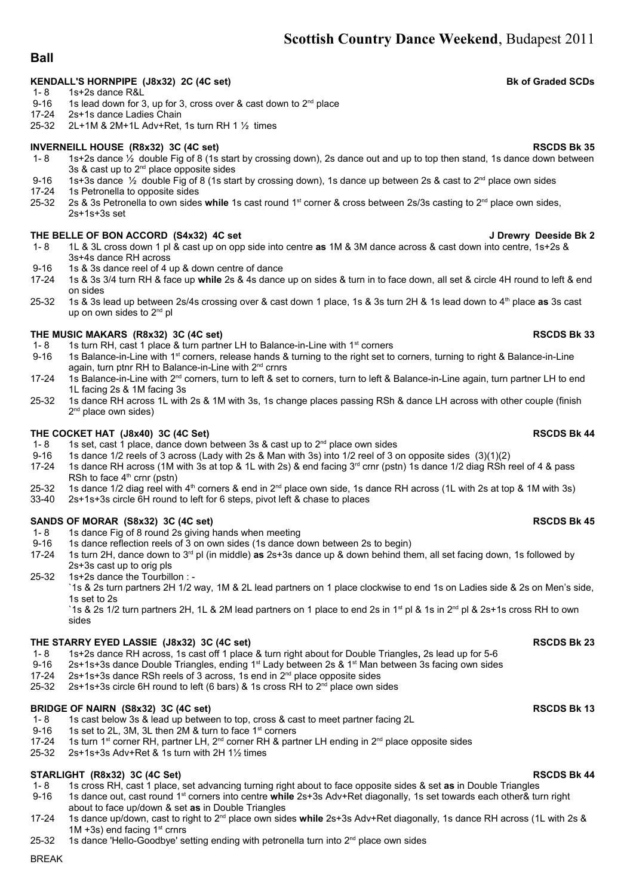# **Scottish Country Dance Weekend**, Budapest 2011

## **Ball**

### KENDALL'S HORNPIPE (J8x32) 2C (4C set) Bk of Graded SCDs

- 1- 8 1s+2s dance R&L
- 9-16 1s lead down for 3, up for 3, cross over & cast down to  $2^{nd}$  place 17-24 2s+1s dance Ladies Chain
- 2s+1s dance Ladies Chain
- 25-32 2L+1M & 2M+1L Adv+Ret, 1s turn RH 1 ½ times

### **INVERNEILL HOUSE (R8x32) 3C (4C set) RSCDS Bk 35**

- 1- 8 1s+2s dance ½ double Fig of 8 (1s start by crossing down), 2s dance out and up to top then stand, 1s dance down between 3s & cast up to  $2^{nd}$  place opposite sides
- 9-16 1s+3s dance  $\frac{1}{2}$  double Fig of 8 (1s start by crossing down), 1s dance up between 2s & cast to 2<sup>nd</sup> place own sides 17-24 1s Petronella to opposite sides
- 1s Petronella to opposite sides
- 25-32 2s & 3s Petronella to own sides **while** 1s cast round 1st corner & cross between 2s/3s casting to 2nd place own sides, 2s+1s+3s set

### **THE BELLE OF BON ACCORD (S4x32) 4C set J Drewry Deeside Bk 2**

- 1- 8 1L & 3L cross down 1 pl & cast up on opp side into centre **as** 1M & 3M dance across & cast down into centre, 1s+2s & 3s+4s dance RH across
- 9-16 1s & 3s dance reel of 4 up & down centre of dance
- 17-24 1s & 3s 3/4 turn RH & face up **while** 2s & 4s dance up on sides & turn in to face down, all set & circle 4H round to left & end on sides
- 25-32 1s & 3s lead up between 2s/4s crossing over & cast down 1 place, 1s & 3s turn 2H & 1s lead down to 4th place **as** 3s cast up on own sides to 2<sup>nd</sup> pl

### THE MUSIC MAKARS (R8x32) 3C (4C set) **RSCDS Bk 33**

- 1- 8 1s turn RH, cast 1 place & turn partner LH to Balance-in-Line with  $1^{st}$  corners
- 9-16 1s Balance-in-Line with 1st corners, release hands & turning to the right set to corners, turning to right & Balance-in-Line again, turn ptnr RH to Balance-in-Line with 2<sup>nd</sup> crnrs
- 17-24 1s Balance-in-Line with 2<sup>nd</sup> corners, turn to left & set to corners, turn to left & Balance-in-Line again, turn partner LH to end 1L facing 2s & 1M facing 3s
- 25-32 1s dance RH across 1L with 2s & 1M with 3s, 1s change places passing RSh & dance LH across with other couple (finish 2<sup>nd</sup> place own sides)

### THE COCKET HAT (J8x40) 3C (4C Set) **RSCDS Bk 44**

- 1- 8 1s set, cast 1 place, dance down between 3s & cast up to  $2<sup>nd</sup>$  place own sides
- 9-16 1s dance 1/2 reels of 3 across (Lady with 2s & Man with 3s) into 1/2 reel of 3 on opposite sides  $(3)(1)(2)$ <br>17-24 1s dance RH across (1M with 3s at top & 1L with 2s) & end facing 3<sup>rd</sup> crnr (pstn) 1s dance 1/2 diag RS
- 1s dance RH across (1M with 3s at top & 1L with 2s) & end facing 3<sup>rd</sup> crnr (pstn) 1s dance 1/2 diag RSh reel of 4 & pass RSh to face  $4<sup>th</sup>$  crnr (pstn)
- 25-32 1s dance 1/2 diag reel with 4<sup>th</sup> corners & end in 2<sup>nd</sup> place own side, 1s dance RH across (1L with 2s at top & 1M with 3s)
- 33-40 2s+1s+3s circle 6H round to left for 6 steps, pivot left & chase to places

### SANDS OF MORAR (S8x32) 3C (4C set) **RSCDS Bk 45**

- 1- 8 1s dance Fig of 8 round 2s giving hands when meeting<br>9-16 1s dance reflection reels of 3 on own sides (1s dance d
- 1s dance reflection reels of 3 on own sides (1s dance down between 2s to begin)
- 17-24 1s turn 2H, dance down to 3rd pl (in middle) **as** 2s+3s dance up & down behind them, all set facing down, 1s followed by 2s+3s cast up to orig pls
- 25-32 1s+2s dance the Tourbillon : -

`1s & 2s turn partners 2H 1/2 way, 1M & 2L lead partners on 1 place clockwise to end 1s on Ladies side & 2s on Men's side, 1s set to 2s

`1s & 2s 1/2 turn partners 2H, 1L & 2M lead partners on 1 place to end 2s in 1<sup>st</sup> pl & 1s in 2<sup>nd</sup> pl & 2s+1s cross RH to own sides

### **THE STARRY EYED LASSIE (J8x32) 3C (4C set) RSCDS Bk 23**

- 1- 8 1s+2s dance RH across, 1s cast off 1 place & turn right about for Double Triangles**,** 2s lead up for 5-6
- 9-16 2s+1s+3s dance Double Triangles, ending  $1<sup>st</sup>$  Lady between 2s & 1<sup>st</sup> Man between 3s facing own sides
- 17-24 2s+1s+3s dance RSh reels of 3 across, 1s end in 2<sup>nd</sup> place opposite sides
- 25-32 2s+1s+3s circle 6H round to left (6 bars) & 1s cross RH to  $2<sup>nd</sup>$  place own sides

# **BRIDGE OF NAIRN (S8x32) 3C (4C set) RSCDS Bk 13**

- 1- 8 1s cast below 3s & lead up between to top, cross & cast to meet partner facing 2L
- 9-16 1s set to 2L, 3M, 3L then 2M & turn to face  $1<sup>st</sup>$  corners
- 17-24 1s turn 1<sup>st</sup> corner RH, partner LH, 2<sup>nd</sup> corner RH & partner LH ending in 2<sup>nd</sup> place opposite sides 25-32 2s+1s+3s Adv+Ret & 1s turn with 2H 1½ times
- 25-32 2s+1s+3s Adv+Ret & 1s turn with 2H 1½ times

# **STARLIGHT (R8x32) 3C (4C Set) RSCDS Bk 44**

- 1- 8 1s cross RH, cast 1 place, set advancing turning right about to face opposite sides & set **as** in Double Triangles
- 9-16 1s dance out, cast round 1st corners into centre **while** 2s+3s Adv+Ret diagonally, 1s set towards each other& turn right about to face up/down & set **as** in Double Triangles
- 17-24 1s dance up/down, cast to right to 2nd place own sides **while** 2s+3s Adv+Ret diagonally, 1s dance RH across (1L with 2s &  $1M + 3s$ ) end facing  $1<sup>st</sup>$  crnrs
- 25-32 1s dance 'Hello-Goodbye' setting ending with petronella turn into  $2^{nd}$  place own sides